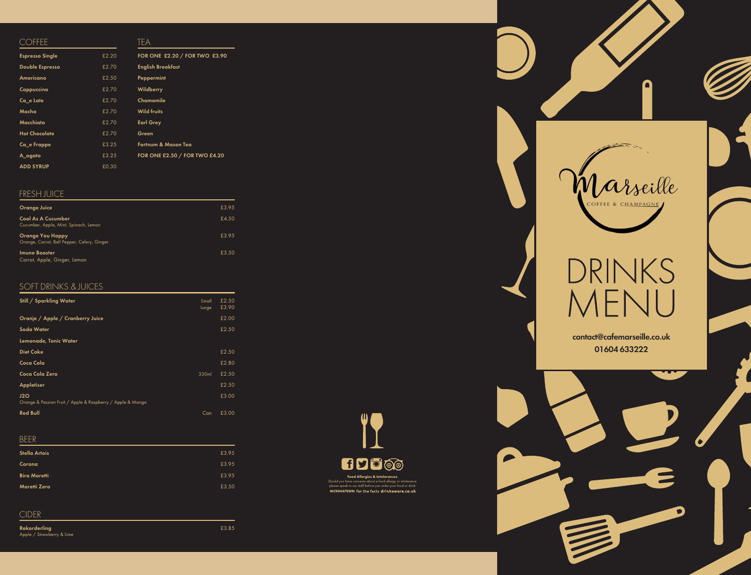

 $\boldsymbol{\ell}$ 



 $\mathbf \Omega$ 

# DRINKS MENU

 ${\bf Rekorderling} \hspace{2.5cm} 23.85$ Apple / Strawberry & Lime

## BEER

| <b>Stella Artois</b> | £3.95 |
|----------------------|-------|
| Corona               | £3.95 |
| <b>Bira Moretti</b>  | £3.95 |
| <b>Moretti Zero</b>  | £3.50 |

## CIDER

## FRESH JUICE

| <b>Orange Juice</b>                                                    | £3.95 |
|------------------------------------------------------------------------|-------|
| <b>Cool As A Cucumber</b><br>Cucumber, Apple, Mint, Spinach, Lemon     | £4.50 |
| <b>Orange You Happy</b><br>Orange, Carrot, Bell Pepper, Celery, Ginger | £3.95 |
| <b>Imune Booster</b><br>Carrot, Apple, Ginger, Lemon                   | £3.50 |

## SOFT DRINKS & JUICES

| Still / Sparkling Water                                           | Small<br>Large | £2.50<br>£3.90 |
|-------------------------------------------------------------------|----------------|----------------|
| Oranje / Apple / Cranberry Juice                                  |                | £2.00          |
| Soda Water                                                        |                | £2.50          |
| Lemonade, Tonic Water                                             |                |                |
| <b>Diet Coke</b>                                                  |                | £2.50          |
| Coca Cola                                                         |                | £2.80          |
| Coca Cola Zero                                                    | 330ml          | £2.50          |
| <b>Appletiser</b>                                                 |                | £2.50          |
| J2O<br>Orange & Passion Fruit / Apple & Raspberry / Apple & Mango |                | £3.00          |
| <b>Red Bull</b>                                                   | Can            | £3.00          |

## **COFFEE**

| <b>Espresso Single</b> | £2.20 | FOR ONE £2.20 / FOR TWO £3.90 |
|------------------------|-------|-------------------------------|
| <b>Double Espresso</b> | £2.70 | <b>English Breakfast</b>      |
| Americano              | £2.50 | Peppermint                    |
| Cappuccino             | £2.70 | <b>Wildberry</b>              |
| Ca_e Late              | £2.70 | Chamomile                     |
| Mocha                  | £2.70 | <b>Wild fruits</b>            |
| Macchiato              | £2.70 | <b>Earl Grey</b>              |
| <b>Hot Chocolate</b>   | £2.70 | Green                         |
| Ca_e Frappe            | £3.25 | Fortnum & Mason Tea           |
| A_ogato                | £3.25 | FOR ONE £2.50 / FOR TWO £4.20 |
| <b>ADD SYRUP</b>       | £0.30 |                               |

TEA

contact@cafemarseille.co.uk 01604 633222

 $\mathbf{\Omega}$